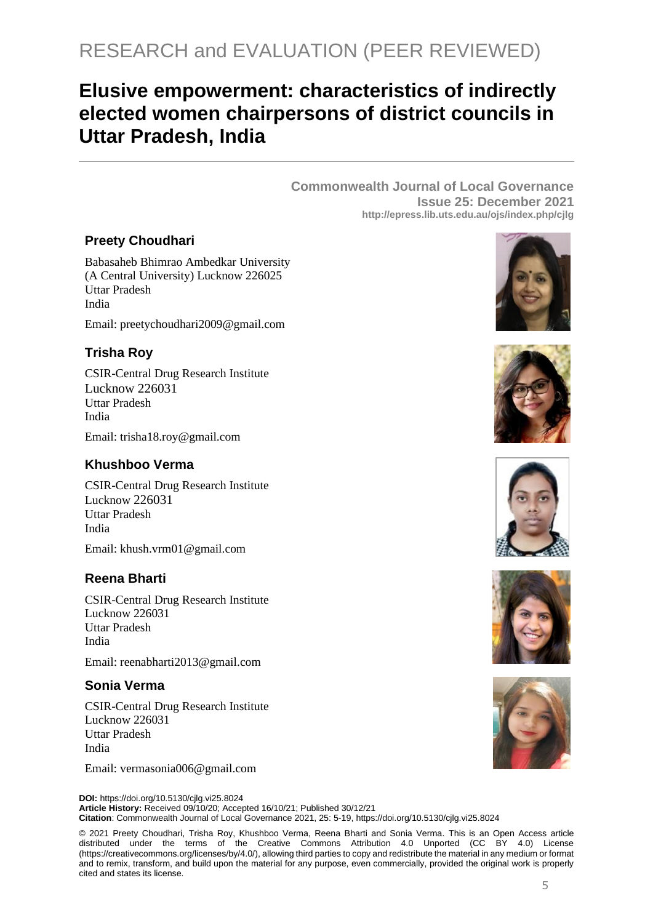# RESEARCH and EVALUATION (PEER REVIEWED)

## **Elusive empowerment: characteristics of indirectly elected women chairpersons of district councils in Uttar Pradesh, India**

**Commonwealth Journal of Local Governance Issue 25: December 2021 http://epress.lib.uts.edu.au/ojs/index.php/cjlg**

## **Preety Choudhari**

Babasaheb Bhimrao Ambedkar University (A Central University) Lucknow 226025 Uttar Pradesh India

Email: preetychoudhari2009@gmail.com

## **Trisha Roy**

CSIR-Central Drug Research Institute Lucknow 226031 Uttar Pradesh India

Email: trisha18.roy@gmail.com

## **Khushboo Verma**

CSIR-Central Drug Research Institute Lucknow 226031 Uttar Pradesh India Email: khush.vrm01@gmail.com

## **Reena Bharti**

CSIR-Central Drug Research Institute Lucknow 226031 Uttar Pradesh India

Email: reenabharti2013@gmail.com

## **Sonia Verma**

CSIR-Central Drug Research Institute Lucknow 226031 Uttar Pradesh India

Email: vermasonia006@gmail.com

**DOI:** https://doi.org/10.5130/cjlg.vi25.8024 **Article History:** Received 09/10/20; Accepted 16/10/21; Published 30/12/21 **Citation**: Commonwealth Journal of Local Governance 2021, 25: 5-19, https://doi.org/10.5130/cjlg.vi25.8024

© 2021 Preety Choudhari, Trisha Roy, Khushboo Verma, Reena Bharti and Sonia Verma. This is an Open Access article distributed under the terms of the Creative Commons Attribution 4.0 Unported (CC BY 4.0) License [\(https://creativecommons.org/licenses/by/4.0/\)](https://creativecommons.org/licenses/by/4.0/), allowing third parties to copy and redistribute the material in any medium or format and to remix, transform, and build upon the material for any purpose, even commercially, provided the original work is properly cited and states its license.









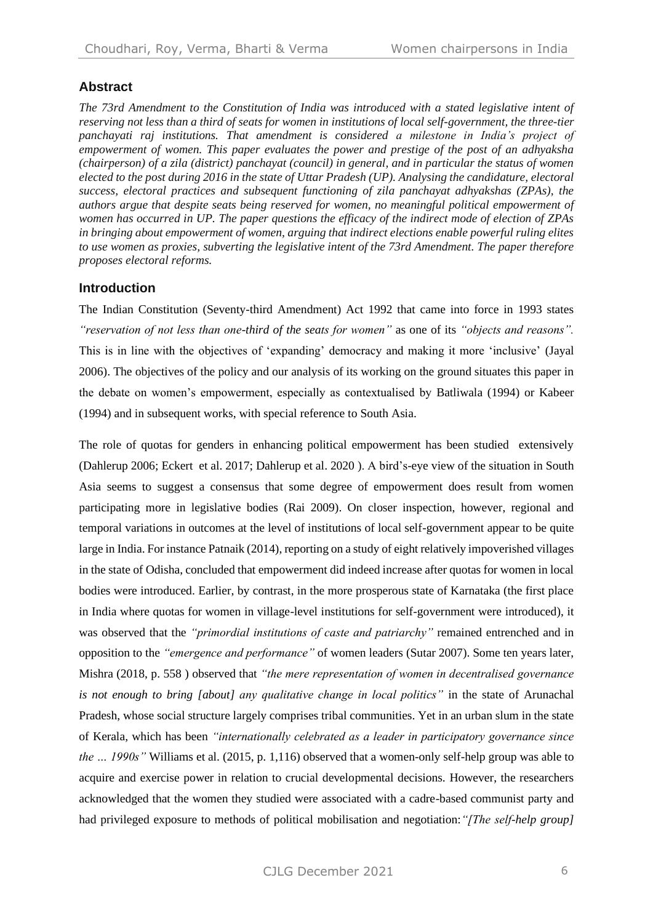## **Abstract**

*The 73rd Amendment to the Constitution of India was introduced with a stated legislative intent of reserving not less than a third of seats for women in institutions of local self-government, the three-tier panchayati raj institutions. That amendment is considered a milestone in India's project of empowerment of women. This paper evaluates the power and prestige of the post of an adhyaksha (chairperson) of a zila (district) panchayat (council) in general, and in particular the status of women elected to the post during 2016 in the state of Uttar Pradesh (UP). Analysing the candidature, electoral success, electoral practices and subsequent functioning of zila panchayat adhyakshas (ZPAs), the authors argue that despite seats being reserved for women, no meaningful political empowerment of women has occurred in UP. The paper questions the efficacy of the indirect mode of election of ZPAs in bringing about empowerment of women, arguing that indirect elections enable powerful ruling elites to use women as proxies, subverting the legislative intent of the 73rd Amendment. The paper therefore proposes electoral reforms.*

## **Introduction**

The Indian Constitution (Seventy-third Amendment) Act 1992 that came into force in 1993 states *"reservation of not less than one-third of the seats for women"* as one of its *"objects and reasons".* This is in line with the objectives of 'expanding' democracy and making it more 'inclusive' (Jayal 2006). The objectives of the policy and our analysis of its working on the ground situates this paper in the debate on women's empowerment, especially as contextualised by Batliwala (1994) or Kabeer (1994) and in subsequent works, with special reference to South Asia.

The role of quotas for genders in enhancing political empowerment has been studied extensively (Dahlerup 2006; Eckert et al. 2017; Dahlerup et al. 2020 ). A bird's-eye view of the situation in South Asia seems to suggest a consensus that some degree of empowerment does result from women participating more in legislative bodies (Rai 2009). On closer inspection, however, regional and temporal variations in outcomes at the level of institutions of local self-government appear to be quite large in India. For instance Patnaik (2014), reporting on a study of eight relatively impoverished villages in the state of Odisha, concluded that empowerment did indeed increase after quotas for women in local bodies were introduced. Earlier, by contrast, in the more prosperous state of Karnataka (the first place in India where quotas for women in village-level institutions for self-government were introduced), it was observed that the *"primordial institutions of caste and patriarchy"* remained entrenched and in opposition to the *"emergence and performance"* of women leaders (Sutar 2007). Some ten years later, Mishra (2018, p. 558 ) observed that *"the mere representation of women in decentralised governance is not enough to bring [about] any qualitative change in local politics"* in the state of Arunachal Pradesh, whose social structure largely comprises tribal communities. Yet in an urban slum in the state of Kerala, which has been *"internationally celebrated as a leader in participatory governance since the … 1990s"* Williams et al. (2015, p. 1,116) observed that a women-only self-help group was able to acquire and exercise power in relation to crucial developmental decisions. However, the researchers acknowledged that the women they studied were associated with a cadre-based communist party and had privileged exposure to methods of political mobilisation and negotiation:*"[The self-help group]*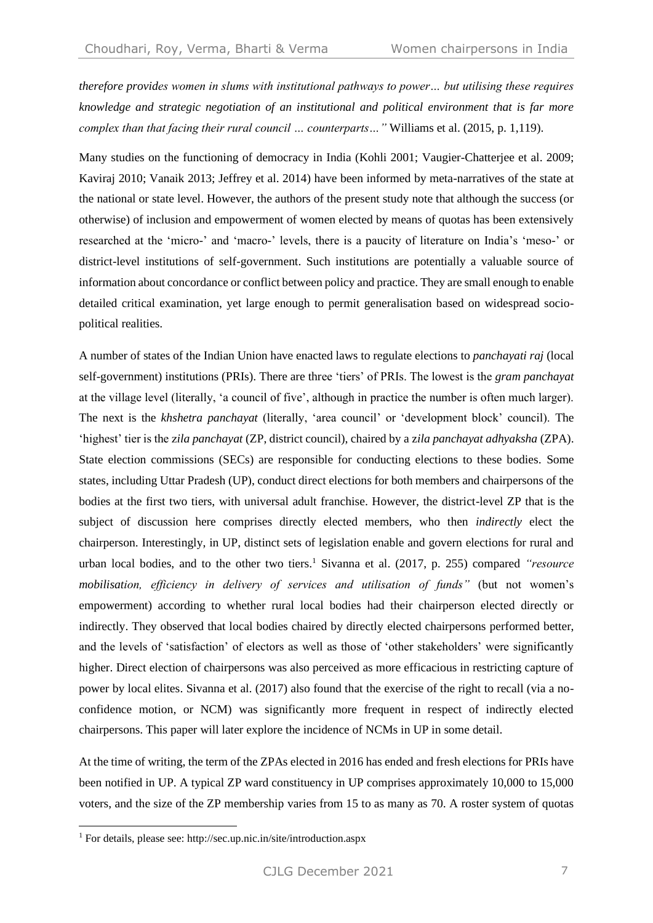*therefore provides women in slums with institutional pathways to power… but utilising these requires knowledge and strategic negotiation of an institutional and political environment that is far more complex than that facing their rural council … counterparts…"* Williams et al. (2015, p. 1,119).

Many studies on the functioning of democracy in India (Kohli 2001; Vaugier-Chatterjee et al. 2009; Kaviraj 2010; Vanaik 2013; Jeffrey et al. 2014) have been informed by meta-narratives of the state at the national or state level. However, the authors of the present study note that although the success (or otherwise) of inclusion and empowerment of women elected by means of quotas has been extensively researched at the 'micro-' and 'macro-' levels, there is a paucity of literature on India's 'meso-' or district-level institutions of self-government. Such institutions are potentially a valuable source of information about concordance or conflict between policy and practice. They are small enough to enable detailed critical examination, yet large enough to permit generalisation based on widespread sociopolitical realities.

A number of states of the Indian Union have enacted laws to regulate elections to *panchayati raj* (local self-government) institutions (PRIs). There are three 'tiers' of PRIs. The lowest is the *gram panchayat* at the village level (literally, 'a council of five', although in practice the number is often much larger). The next is the *khshetra panchayat* (literally, 'area council' or 'development block' council). The 'highest' tier is the z*ila panchayat* (ZP, district council), chaired by a z*ila panchayat adhyaksha* (ZPA). State election commissions (SECs) are responsible for conducting elections to these bodies*.* Some states, including Uttar Pradesh (UP), conduct direct elections for both members and chairpersons of the bodies at the first two tiers, with universal adult franchise. However, the district-level ZP that is the subject of discussion here comprises directly elected members, who then *indirectly* elect the chairperson. Interestingly, in UP, distinct sets of legislation enable and govern elections for rural and urban local bodies, and to the other two tiers.<sup>1</sup> Sivanna et al. (2017, p. 255) compared *"resource mobilisation, efficiency in delivery of services and utilisation of funds"* (but not women's empowerment) according to whether rural local bodies had their chairperson elected directly or indirectly. They observed that local bodies chaired by directly elected chairpersons performed better, and the levels of 'satisfaction' of electors as well as those of 'other stakeholders' were significantly higher. Direct election of chairpersons was also perceived as more efficacious in restricting capture of power by local elites. Sivanna et al. (2017) also found that the exercise of the right to recall (via a noconfidence motion, or NCM) was significantly more frequent in respect of indirectly elected chairpersons. This paper will later explore the incidence of NCMs in UP in some detail.

At the time of writing, the term of the ZPAs elected in 2016 has ended and fresh elections for PRIs have been notified in UP. A typical ZP ward constituency in UP comprises approximately 10,000 to 15,000 voters, and the size of the ZP membership varies from 15 to as many as 70. A roster system of quotas

<sup>1</sup> For details, please see: http://sec.up.nic.in/site/introduction.aspx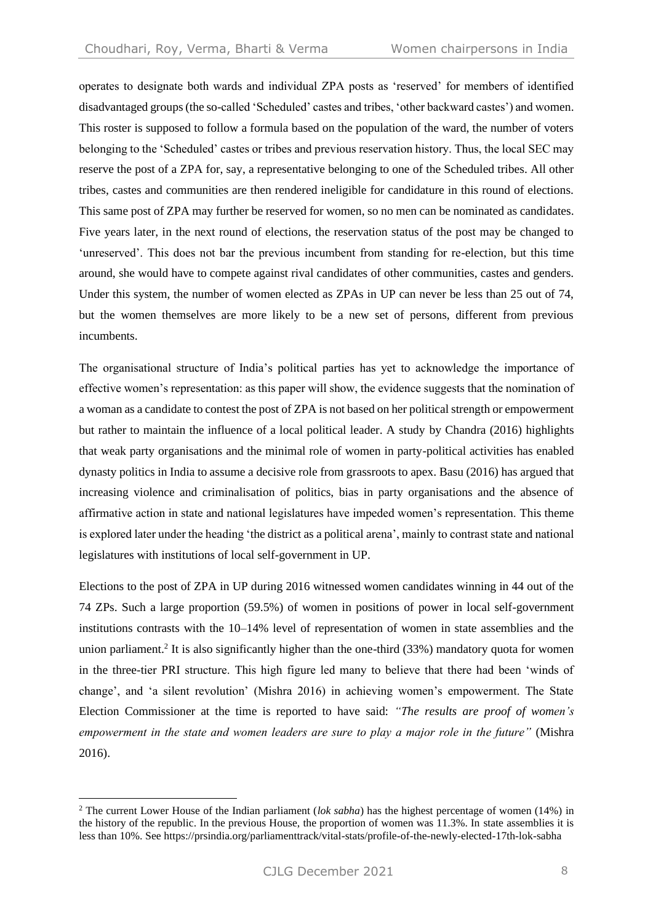operates to designate both wards and individual ZPA posts as 'reserved' for members of identified disadvantaged groups (the so-called 'Scheduled' castes and tribes, 'other backward castes') and women. This roster is supposed to follow a formula based on the population of the ward, the number of voters belonging to the 'Scheduled' castes or tribes and previous reservation history. Thus, the local SEC may reserve the post of a ZPA for, say, a representative belonging to one of the Scheduled tribes. All other tribes, castes and communities are then rendered ineligible for candidature in this round of elections. This same post of ZPA may further be reserved for women, so no men can be nominated as candidates. Five years later, in the next round of elections, the reservation status of the post may be changed to 'unreserved'. This does not bar the previous incumbent from standing for re-election, but this time around, she would have to compete against rival candidates of other communities, castes and genders. Under this system, the number of women elected as ZPAs in UP can never be less than 25 out of 74, but the women themselves are more likely to be a new set of persons, different from previous incumbents.

The organisational structure of India's political parties has yet to acknowledge the importance of effective women's representation: as this paper will show, the evidence suggests that the nomination of a woman as a candidate to contest the post of ZPA is not based on her political strength or empowerment but rather to maintain the influence of a local political leader. A study by Chandra (2016) highlights that weak party organisations and the minimal role of women in party-political activities has enabled dynasty politics in India to assume a decisive role from grassroots to apex. Basu (2016) has argued that increasing violence and criminalisation of politics, bias in party organisations and the absence of affirmative action in state and national legislatures have impeded women's representation. This theme is explored later under the heading 'the district as a political arena', mainly to contrast state and national legislatures with institutions of local self-government in UP.

Elections to the post of ZPA in UP during 2016 witnessed women candidates winning in 44 out of the 74 ZPs. Such a large proportion (59.5%) of women in positions of power in local self-government institutions contrasts with the 10–14% level of representation of women in state assemblies and the union parliament.<sup>2</sup> It is also significantly higher than the one-third (33%) mandatory quota for women in the three-tier PRI structure. This high figure led many to believe that there had been 'winds of change', and 'a silent revolution' (Mishra 2016) in achieving women's empowerment. The State Election Commissioner at the time is reported to have said: *"The results are proof of women's empowerment in the state and women leaders are sure to play a major role in the future"* (Mishra 2016).

<sup>2</sup> The current Lower House of the Indian parliament (*lok sabha*) has the highest percentage of women (14%) in the history of the republic. In the previous House, the proportion of women was 11.3%. In state assemblies it is less than 10%. See <https://prsindia.org/parliamenttrack/vital-stats/profile-of-the-newly-elected-17th-lok-sabha>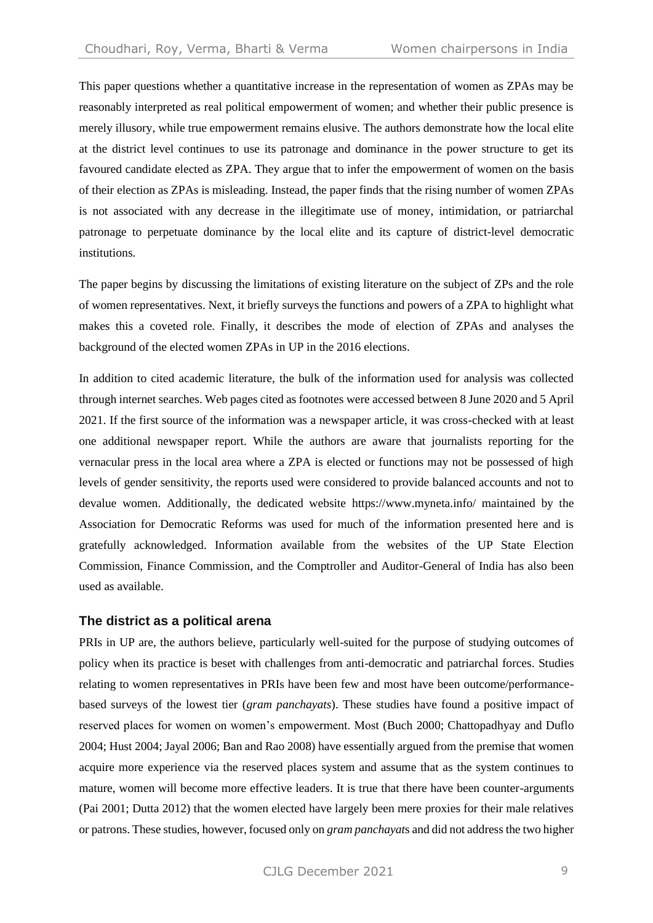This paper questions whether a quantitative increase in the representation of women as ZPAs may be reasonably interpreted as real political empowerment of women; and whether their public presence is merely illusory, while true empowerment remains elusive. The authors demonstrate how the local elite at the district level continues to use its patronage and dominance in the power structure to get its favoured candidate elected as ZPA. They argue that to infer the empowerment of women on the basis of their election as ZPAs is misleading. Instead, the paper finds that the rising number of women ZPAs is not associated with any decrease in the illegitimate use of money, intimidation, or patriarchal patronage to perpetuate dominance by the local elite and its capture of district-level democratic institutions.

The paper begins by discussing the limitations of existing literature on the subject of ZPs and the role of women representatives. Next, it briefly surveys the functions and powers of a ZPA to highlight what makes this a coveted role. Finally, it describes the mode of election of ZPAs and analyses the background of the elected women ZPAs in UP in the 2016 elections.

In addition to cited academic literature, the bulk of the information used for analysis was collected through internet searches. Web pages cited as footnotes were accessed between 8 June 2020 and 5 April 2021. If the first source of the information was a newspaper article, it was cross-checked with at least one additional newspaper report. While the authors are aware that journalists reporting for the vernacular press in the local area where a ZPA is elected or functions may not be possessed of high levels of gender sensitivity, the reports used were considered to provide balanced accounts and not to devalue women. Additionally, the dedicated website <https://www.myneta.info/> maintained by the Association for Democratic Reforms was used for much of the information presented here and is gratefully acknowledged. Information available from the websites of the UP State Election Commission, Finance Commission, and the Comptroller and Auditor-General of India has also been used as available.

#### **The district as a political arena**

PRIs in UP are, the authors believe, particularly well-suited for the purpose of studying outcomes of policy when its practice is beset with challenges from anti-democratic and patriarchal forces. Studies relating to women representatives in PRIs have been few and most have been outcome/performancebased surveys of the lowest tier (*gram panchayats*). These studies have found a positive impact of reserved places for women on women's empowerment. Most (Buch 2000; Chattopadhyay and Duflo 2004; Hust 2004; Jayal 2006; Ban and Rao 2008) have essentially argued from the premise that women acquire more experience via the reserved places system and assume that as the system continues to mature, women will become more effective leaders. It is true that there have been counter-arguments (Pai 2001; Dutta 2012) that the women elected have largely been mere proxies for their male relatives or patrons. These studies, however, focused only on *gram panchayat*s and did not address the two higher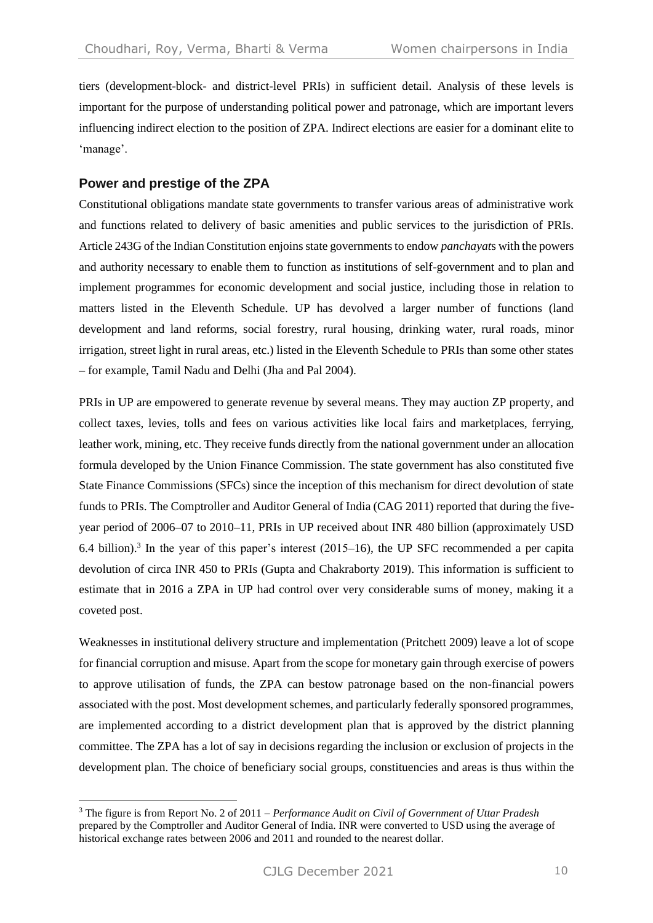tiers (development-block- and district-level PRIs) in sufficient detail. Analysis of these levels is important for the purpose of understanding political power and patronage, which are important levers influencing indirect election to the position of ZPA. Indirect elections are easier for a dominant elite to 'manage'.

## **Power and prestige of the ZPA**

Constitutional obligations mandate state governments to transfer various areas of administrative work and functions related to delivery of basic amenities and public services to the jurisdiction of PRIs. Article 243G of the Indian Constitution enjoins state governments to endow *panchayat*s with the powers and authority necessary to enable them to function as institutions of self-government and to plan and implement programmes for economic development and social justice, including those in relation to matters listed in the Eleventh Schedule. UP has devolved a larger number of functions (land development and land reforms, social forestry, rural housing, drinking water, rural roads, minor irrigation, street light in rural areas, etc.) listed in the Eleventh Schedule to PRIs than some other states – for example, Tamil Nadu and Delhi (Jha and Pal 2004).

PRIs in UP are empowered to generate revenue by several means. They may auction ZP property, and collect taxes, levies, tolls and fees on various activities like local fairs and marketplaces, ferrying, leather work, mining, etc. They receive funds directly from the national government under an allocation formula developed by the Union Finance Commission. The state government has also constituted five State Finance Commissions (SFCs) since the inception of this mechanism for direct devolution of state funds to PRIs. The Comptroller and Auditor General of India (CAG 2011) reported that during the fiveyear period of 2006–07 to 2010–11, PRIs in UP received about INR 480 billion (approximately USD 6.4 billion).<sup>3</sup> In the year of this paper's interest  $(2015-16)$ , the UP SFC recommended a per capita devolution of circa INR 450 to PRIs (Gupta and Chakraborty 2019). This information is sufficient to estimate that in 2016 a ZPA in UP had control over very considerable sums of money, making it a coveted post.

Weaknesses in institutional delivery structure and implementation (Pritchett 2009) leave a lot of scope for financial corruption and misuse. Apart from the scope for monetary gain through exercise of powers to approve utilisation of funds, the ZPA can bestow patronage based on the non-financial powers associated with the post. Most development schemes, and particularly federally sponsored programmes, are implemented according to a district development plan that is approved by the district planning committee. The ZPA has a lot of say in decisions regarding the inclusion or exclusion of projects in the development plan. The choice of beneficiary social groups, constituencies and areas is thus within the

<sup>3</sup> The figure is from Report No. 2 of 2011 – *Performance Audit on Civil of Government of Uttar Pradesh* prepared by the Comptroller and Auditor General of India. INR were converted to USD using the average of historical exchange rates between 2006 and 2011 and rounded to the nearest dollar.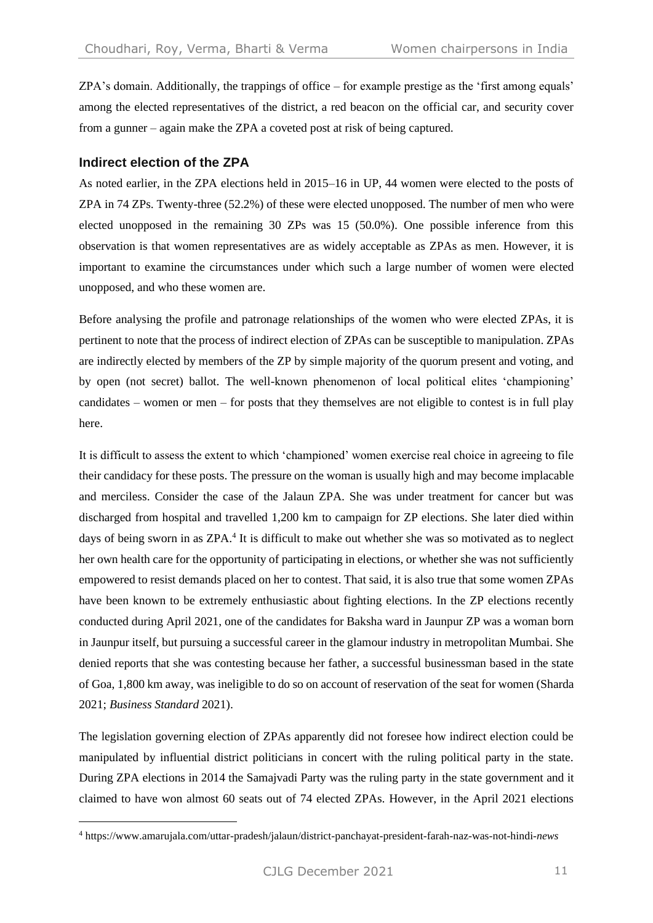ZPA's domain. Additionally, the trappings of office – for example prestige as the 'first among equals' among the elected representatives of the district, a red beacon on the official car, and security cover from a gunner – again make the ZPA a coveted post at risk of being captured.

#### **Indirect election of the ZPA**

As noted earlier, in the ZPA elections held in 2015–16 in UP, 44 women were elected to the posts of ZPA in 74 ZPs. Twenty-three (52.2%) of these were elected unopposed. The number of men who were elected unopposed in the remaining 30 ZPs was 15 (50.0%). One possible inference from this observation is that women representatives are as widely acceptable as ZPAs as men. However, it is important to examine the circumstances under which such a large number of women were elected unopposed, and who these women are.

Before analysing the profile and patronage relationships of the women who were elected ZPAs, it is pertinent to note that the process of indirect election of ZPAs can be susceptible to manipulation. ZPAs are indirectly elected by members of the ZP by simple majority of the quorum present and voting, and by open (not secret) ballot. The well-known phenomenon of local political elites 'championing' candidates – women or men – for posts that they themselves are not eligible to contest is in full play here.

It is difficult to assess the extent to which 'championed' women exercise real choice in agreeing to file their candidacy for these posts. The pressure on the woman is usually high and may become implacable and merciless. Consider the case of the Jalaun ZPA. She was under treatment for cancer but was discharged from hospital and travelled 1,200 km to campaign for ZP elections. She later died within days of being sworn in as ZPA.<sup>4</sup> It is difficult to make out whether she was so motivated as to neglect her own health care for the opportunity of participating in elections, or whether she was not sufficiently empowered to resist demands placed on her to contest. That said, it is also true that some women ZPAs have been known to be extremely enthusiastic about fighting elections. In the ZP elections recently conducted during April 2021, one of the candidates for Baksha ward in Jaunpur ZP was a woman born in Jaunpur itself, but pursuing a successful career in the glamour industry in metropolitan Mumbai. She denied reports that she was contesting because her father, a successful businessman based in the state of Goa, 1,800 km away, was ineligible to do so on account of reservation of the seat for women (Sharda 2021; *Business Standard* 2021).

The legislation governing election of ZPAs apparently did not foresee how indirect election could be manipulated by influential district politicians in concert with the ruling political party in the state. During ZPA elections in 2014 the Samajvadi Party was the ruling party in the state government and it claimed to have won almost 60 seats out of 74 elected ZPAs. However, in the April 2021 elections

<sup>4</sup> https://www.amarujala.com/uttar-pradesh/jalaun/district-panchayat-president-farah-naz-was-not-hindi-*news*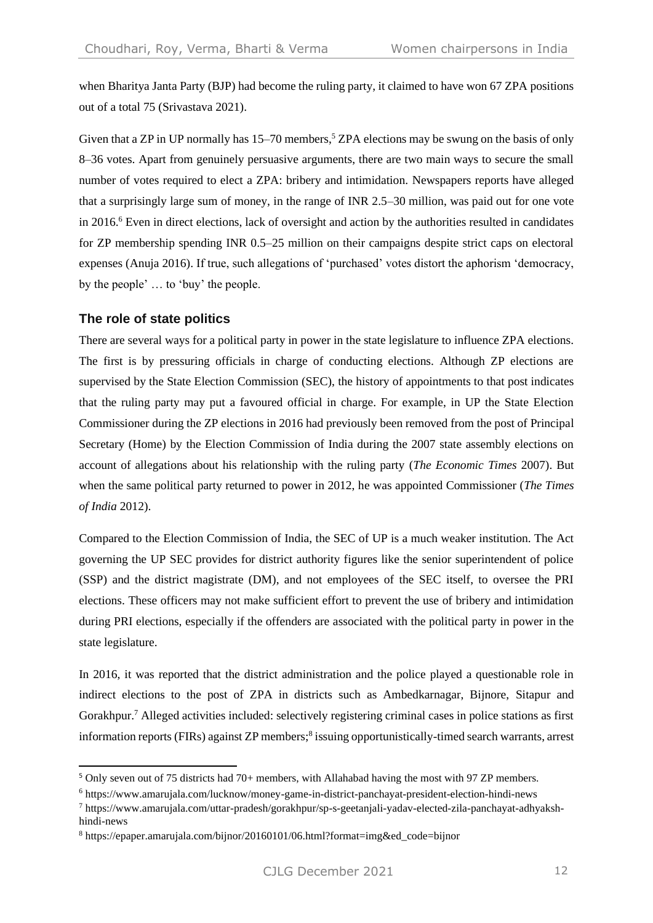when Bharitya Janta Party (BJP) had become the ruling party, it claimed to have won 67 ZPA positions out of a total 75 (Srivastava 2021).

Given that a ZP in UP normally has  $15-70$  members,<sup>5</sup> ZPA elections may be swung on the basis of only 8–36 votes. Apart from genuinely persuasive arguments, there are two main ways to secure the small number of votes required to elect a ZPA: bribery and intimidation. Newspapers reports have alleged that a surprisingly large sum of money, in the range of INR 2.5–30 million, was paid out for one vote in 2016.<sup>6</sup> Even in direct elections, lack of oversight and action by the authorities resulted in candidates for ZP membership spending INR 0.5–25 million on their campaigns despite strict caps on electoral expenses (Anuja 2016). If true, such allegations of 'purchased' votes distort the aphorism 'democracy, by the people' … to 'buy' the people.

#### **The role of state politics**

There are several ways for a political party in power in the state legislature to influence ZPA elections. The first is by pressuring officials in charge of conducting elections. Although ZP elections are supervised by the State Election Commission (SEC), the history of appointments to that post indicates that the ruling party may put a favoured official in charge. For example, in UP the State Election Commissioner during the ZP elections in 2016 had previously been removed from the post of Principal Secretary (Home) by the Election Commission of India during the 2007 state assembly elections on account of allegations about his relationship with the ruling party (*The Economic Times* 2007). But when the same political party returned to power in 2012, he was appointed Commissioner (*The Times of India* 2012).

Compared to the Election Commission of India, the SEC of UP is a much weaker institution. The Act governing the UP SEC provides for district authority figures like the senior superintendent of police (SSP) and the district magistrate (DM), and not employees of the SEC itself, to oversee the PRI elections. These officers may not make sufficient effort to prevent the use of bribery and intimidation during PRI elections, especially if the offenders are associated with the political party in power in the state legislature.

In 2016, it was reported that the district administration and the police played a questionable role in indirect elections to the post of ZPA in districts such as Ambedkarnagar, Bijnore, Sitapur and Gorakhpur.<sup>7</sup> Alleged activities included: selectively registering criminal cases in police stations as first information reports (FIRs) against ZP members;<sup>8</sup> issuing opportunistically-timed search warrants, arrest

<sup>5</sup> Only seven out of 75 districts had 70+ members, with Allahabad having the most with 97 ZP members.

<sup>6</sup> <https://www.amarujala.com/lucknow/money-game-in-district-panchayat-president-election-hindi-news>

<sup>7</sup> https://www.amarujala.com/uttar-pradesh/gorakhpur/sp-s-geetanjali-yadav-elected-zila-panchayat-adhyakshhindi-news

<sup>8</sup> https://epaper.amarujala.com/bijnor/20160101/06.html?format=img&ed\_code=bijnor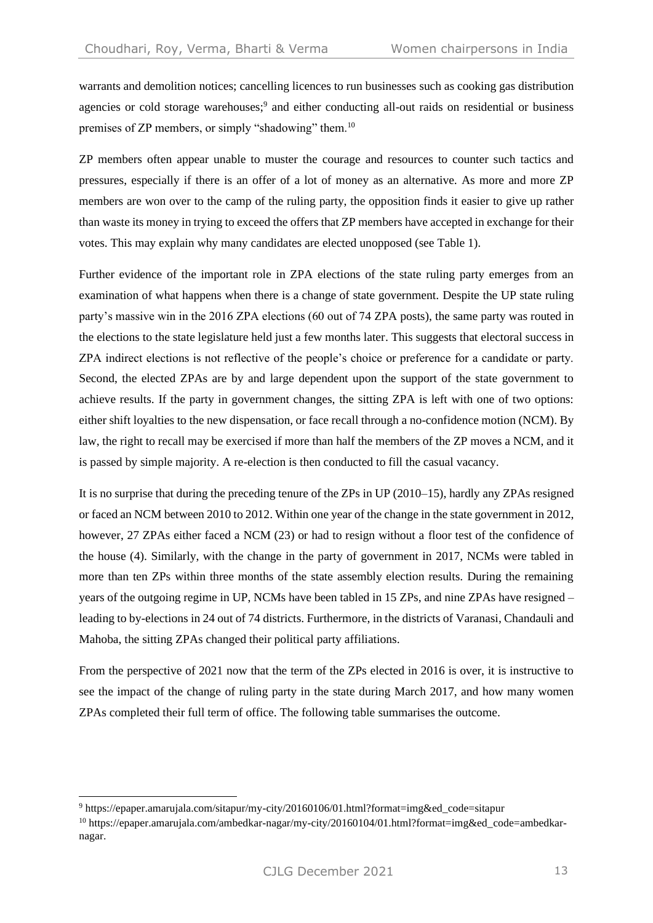warrants and demolition notices; cancelling licences to run businesses such as cooking gas distribution agencies or cold storage warehouses;<sup>9</sup> and either conducting all-out raids on residential or business premises of ZP members, or simply "shadowing" them.<sup>10</sup>

ZP members often appear unable to muster the courage and resources to counter such tactics and pressures, especially if there is an offer of a lot of money as an alternative. As more and more ZP members are won over to the camp of the ruling party, the opposition finds it easier to give up rather than waste its money in trying to exceed the offers that ZP members have accepted in exchange for their votes. This may explain why many candidates are elected unopposed (see Table 1).

Further evidence of the important role in ZPA elections of the state ruling party emerges from an examination of what happens when there is a change of state government. Despite the UP state ruling party's massive win in the 2016 ZPA elections (60 out of 74 ZPA posts), the same party was routed in the elections to the state legislature held just a few months later. This suggests that electoral success in ZPA indirect elections is not reflective of the people's choice or preference for a candidate or party. Second, the elected ZPAs are by and large dependent upon the support of the state government to achieve results. If the party in government changes, the sitting ZPA is left with one of two options: either shift loyalties to the new dispensation, or face recall through a no-confidence motion (NCM). By law, the right to recall may be exercised if more than half the members of the ZP moves a NCM, and it is passed by simple majority. A re-election is then conducted to fill the casual vacancy.

It is no surprise that during the preceding tenure of the ZPs in UP (2010–15), hardly any ZPAs resigned or faced an NCM between 2010 to 2012. Within one year of the change in the state government in 2012, however, 27 ZPAs either faced a NCM (23) or had to resign without a floor test of the confidence of the house (4). Similarly, with the change in the party of government in 2017, NCMs were tabled in more than ten ZPs within three months of the state assembly election results. During the remaining years of the outgoing regime in UP, NCMs have been tabled in 15 ZPs, and nine ZPAs have resigned – leading to by-elections in 24 out of 74 districts. Furthermore, in the districts of Varanasi, Chandauli and Mahoba, the sitting ZPAs changed their political party affiliations.

From the perspective of 2021 now that the term of the ZPs elected in 2016 is over, it is instructive to see the impact of the change of ruling party in the state during March 2017, and how many women ZPAs completed their full term of office. The following table summarises the outcome.

<sup>9</sup> https://epaper.amarujala.com/sitapur/my-city/20160106/01.html?format=img&ed\_code=sitapur

<sup>10</sup> https://epaper.amarujala.com/ambedkar-nagar/my-city/20160104/01.html?format=img&ed\_code=ambedkarnagar.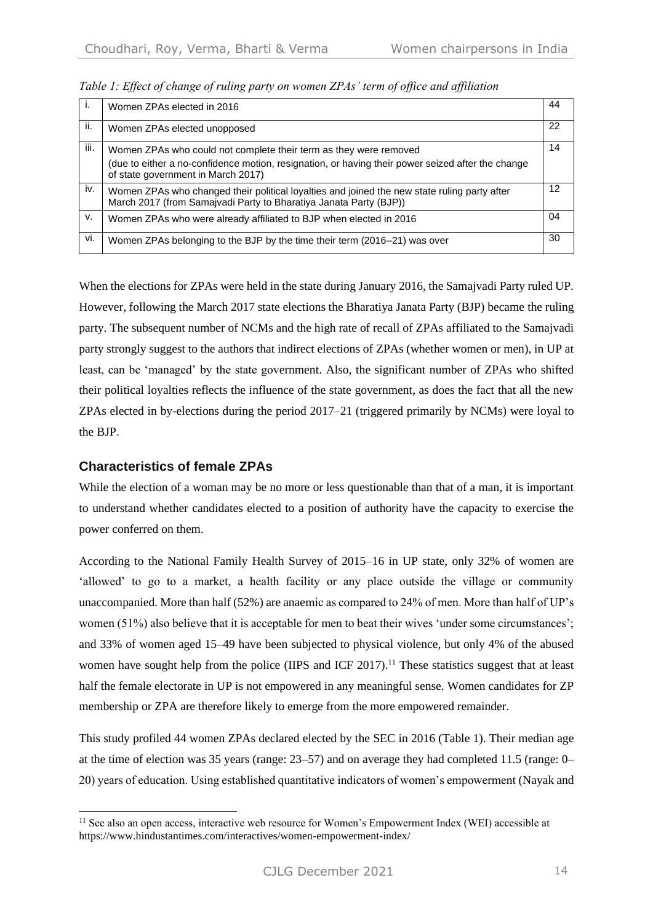| Τ.   | Women ZPAs elected in 2016                                                                                                                                        | 44 |
|------|-------------------------------------------------------------------------------------------------------------------------------------------------------------------|----|
| ii.  | Women ZPAs elected unopposed                                                                                                                                      | 22 |
| iii. | Women ZPAs who could not complete their term as they were removed                                                                                                 | 14 |
|      | (due to either a no-confidence motion, resignation, or having their power seized after the change<br>of state government in March 2017)                           |    |
| iv.  | Women ZPAs who changed their political loyalties and joined the new state ruling party after<br>March 2017 (from Samajvadi Party to Bharatiya Janata Party (BJP)) | 12 |
| v.   | Women ZPAs who were already affiliated to BJP when elected in 2016                                                                                                | 04 |
| vi.  | Women ZPAs belonging to the BJP by the time their term (2016–21) was over                                                                                         | 30 |

*Table 1: Effect of change of ruling party on women ZPAs' term of office and affiliation*

When the elections for ZPAs were held in the state during January 2016, the Samajvadi Party ruled UP. However, following the March 2017 state elections the Bharatiya Janata Party (BJP) became the ruling party. The subsequent number of NCMs and the high rate of recall of ZPAs affiliated to the Samajvadi party strongly suggest to the authors that indirect elections of ZPAs (whether women or men), in UP at least, can be 'managed' by the state government. Also, the significant number of ZPAs who shifted their political loyalties reflects the influence of the state government, as does the fact that all the new ZPAs elected in by-elections during the period 2017–21 (triggered primarily by NCMs) were loyal to the BJP.

#### **Characteristics of female ZPAs**

While the election of a woman may be no more or less questionable than that of a man, it is important to understand whether candidates elected to a position of authority have the capacity to exercise the power conferred on them.

According to the National Family Health Survey of 2015–16 in UP state, only 32% of women are 'allowed' to go to a market, a health facility or any place outside the village or community unaccompanied. More than half (52%) are anaemic as compared to 24% of men. More than half of UP's women (51%) also believe that it is acceptable for men to beat their wives 'under some circumstances'; and 33% of women aged 15–49 have been subjected to physical violence, but only 4% of the abused women have sought help from the police (IIPS and ICF 2017).<sup>11</sup> These statistics suggest that at least half the female electorate in UP is not empowered in any meaningful sense. Women candidates for ZP membership or ZPA are therefore likely to emerge from the more empowered remainder.

This study profiled 44 women ZPAs declared elected by the SEC in 2016 (Table 1). Their median age at the time of election was 35 years (range: 23–57) and on average they had completed 11.5 (range: 0– 20) years of education. Using established quantitative indicators of women's empowerment (Nayak and

<sup>&</sup>lt;sup>11</sup> See also an open access, interactive web resource for Women's Empowerment Index (WEI) accessible at https://www.hindustantimes.com/interactives/women-empowerment-index/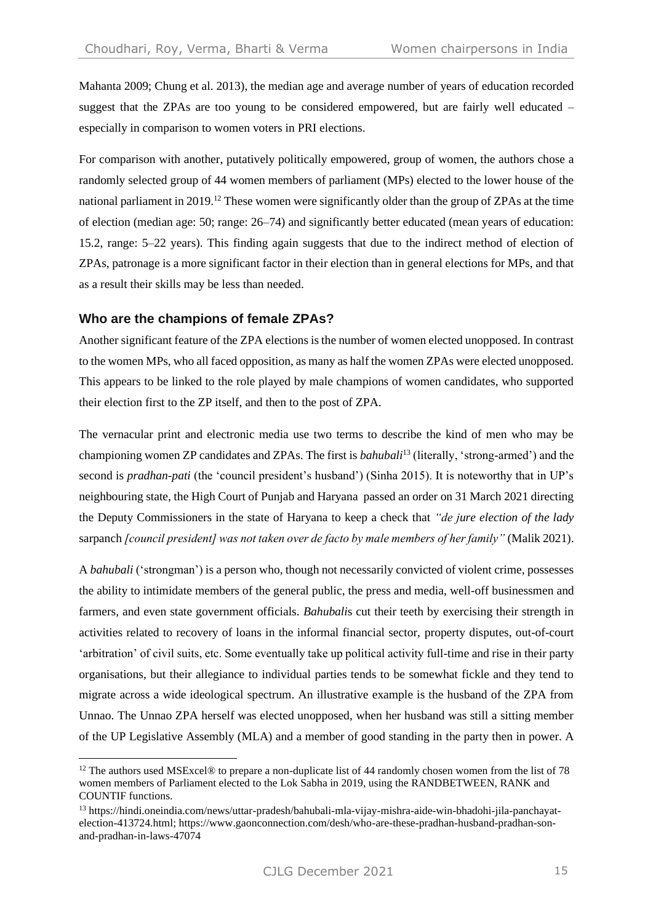Mahanta 2009; Chung et al. 2013), the median age and average number of years of education recorded suggest that the ZPAs are too young to be considered empowered, but are fairly well educated – especially in comparison to women voters in PRI elections.

For comparison with another, putatively politically empowered, group of women, the authors chose a randomly selected group of 44 women members of parliament (MPs) elected to the lower house of the national parliament in 2019.<sup>12</sup> These women were significantly older than the group of ZPAs at the time of election (median age: 50; range: 26–74) and significantly better educated (mean years of education: 15.2, range: 5–22 years). This finding again suggests that due to the indirect method of election of ZPAs, patronage is a more significant factor in their election than in general elections for MPs, and that as a result their skills may be less than needed.

#### **Who are the champions of female ZPAs?**

Another significant feature of the ZPA elections is the number of women elected unopposed. In contrast to the women MPs, who all faced opposition, as many as half the women ZPAs were elected unopposed. This appears to be linked to the role played by male champions of women candidates, who supported their election first to the ZP itself, and then to the post of ZPA.

The vernacular print and electronic media use two terms to describe the kind of men who may be championing women ZP candidates and ZPAs. The first is *bahubali*<sup>13</sup> (literally, 'strong-armed') and the second is *pradhan-pati* (the 'council president's husband') (Sinha 2015). It is noteworthy that in UP's neighbouring state, the High Court of Punjab and Haryana passed an order on 31 March 2021 directing the Deputy Commissioners in the state of Haryana to keep a check that *"de jure election of the lady*  sarpanch *[council president] was not taken over de facto by male members of her family"* (Malik 2021).

A *bahubali* ('strongman') is a person who, though not necessarily convicted of violent crime, possesses the ability to intimidate members of the general public, the press and media, well-off businessmen and farmers, and even state government officials. *Bahubali*s cut their teeth by exercising their strength in activities related to recovery of loans in the informal financial sector, property disputes, out-of-court 'arbitration' of civil suits, etc. Some eventually take up political activity full-time and rise in their party organisations, but their allegiance to individual parties tends to be somewhat fickle and they tend to migrate across a wide ideological spectrum. An illustrative example is the husband of the ZPA from Unnao. The Unnao ZPA herself was elected unopposed, when her husband was still a sitting member of the UP Legislative Assembly (MLA) and a member of good standing in the party then in power. A

<sup>&</sup>lt;sup>12</sup> The authors used MSExcel® to prepare a non-duplicate list of 44 randomly chosen women from the list of 78 women members of Parliament elected to the Lok Sabha in 2019, using the RANDBETWEEN, RANK and COUNTIF functions.

<sup>13</sup> https://hindi.oneindia.com/news/uttar-pradesh/bahubali-mla-vijay-mishra-aide-win-bhadohi-jila-panchayatelection-413724.html; https://www.gaonconnection.com/desh/who-are-these-pradhan-husband-pradhan-sonand-pradhan-in-laws-47074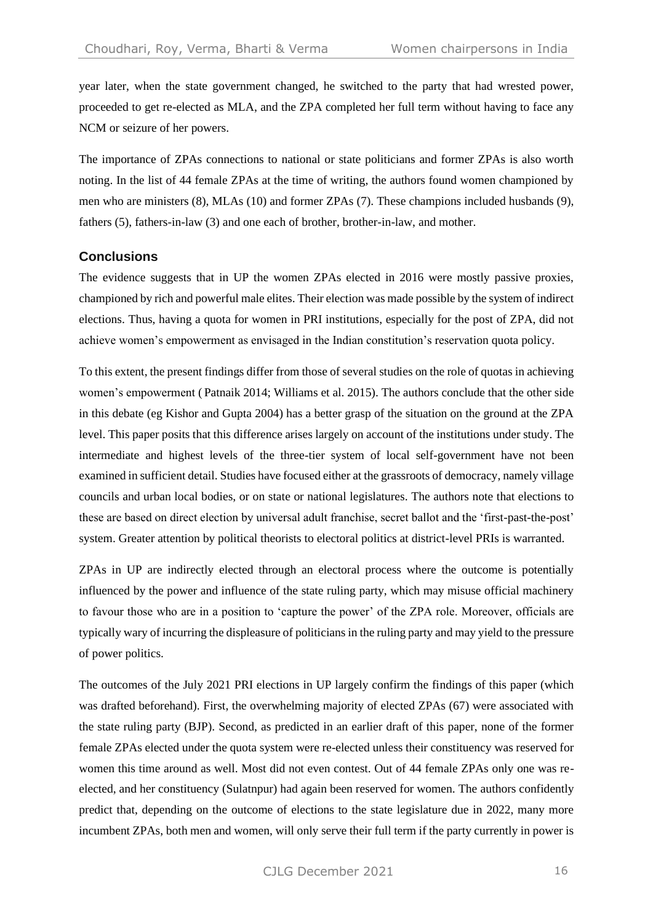year later, when the state government changed, he switched to the party that had wrested power, proceeded to get re-elected as MLA, and the ZPA completed her full term without having to face any NCM or seizure of her powers.

The importance of ZPAs connections to national or state politicians and former ZPAs is also worth noting. In the list of 44 female ZPAs at the time of writing, the authors found women championed by men who are ministers (8), MLAs (10) and former ZPAs (7). These champions included husbands (9), fathers (5), fathers-in-law (3) and one each of brother, brother-in-law, and mother.

#### **Conclusions**

The evidence suggests that in UP the women ZPAs elected in 2016 were mostly passive proxies, championed by rich and powerful male elites. Their election was made possible by the system of indirect elections. Thus, having a quota for women in PRI institutions, especially for the post of ZPA, did not achieve women's empowerment as envisaged in the Indian constitution's reservation quota policy.

To this extent, the present findings differ from those of several studies on the role of quotas in achieving women's empowerment ( Patnaik 2014; Williams et al. 2015). The authors conclude that the other side in this debate (eg Kishor and Gupta 2004) has a better grasp of the situation on the ground at the ZPA level. This paper posits that this difference arises largely on account of the institutions under study. The intermediate and highest levels of the three-tier system of local self-government have not been examined in sufficient detail. Studies have focused either at the grassroots of democracy, namely village councils and urban local bodies, or on state or national legislatures. The authors note that elections to these are based on direct election by universal adult franchise, secret ballot and the 'first-past-the-post' system. Greater attention by political theorists to electoral politics at district-level PRIs is warranted.

ZPAs in UP are indirectly elected through an electoral process where the outcome is potentially influenced by the power and influence of the state ruling party, which may misuse official machinery to favour those who are in a position to 'capture the power' of the ZPA role. Moreover, officials are typically wary of incurring the displeasure of politicians in the ruling party and may yield to the pressure of power politics.

The outcomes of the July 2021 PRI elections in UP largely confirm the findings of this paper (which was drafted beforehand). First, the overwhelming majority of elected ZPAs (67) were associated with the state ruling party (BJP). Second, as predicted in an earlier draft of this paper, none of the former female ZPAs elected under the quota system were re-elected unless their constituency was reserved for women this time around as well. Most did not even contest. Out of 44 female ZPAs only one was reelected, and her constituency (Sulatnpur) had again been reserved for women. The authors confidently predict that, depending on the outcome of elections to the state legislature due in 2022, many more incumbent ZPAs, both men and women, will only serve their full term if the party currently in power is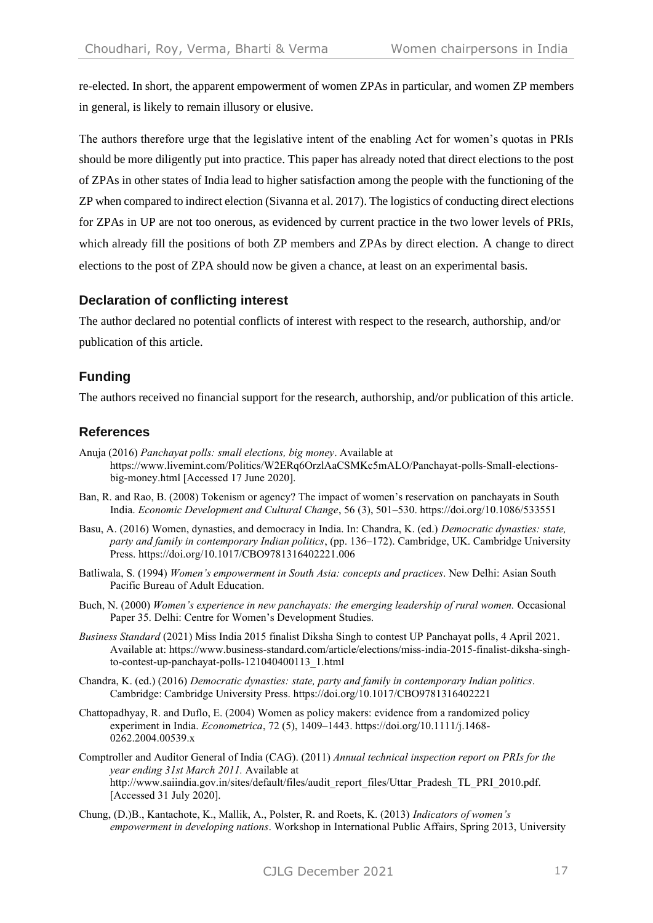re-elected. In short, the apparent empowerment of women ZPAs in particular, and women ZP members in general, is likely to remain illusory or elusive.

The authors therefore urge that the legislative intent of the enabling Act for women's quotas in PRIs should be more diligently put into practice. This paper has already noted that direct elections to the post of ZPAs in other states of India lead to higher satisfaction among the people with the functioning of the ZP when compared to indirect election (Sivanna et al. 2017). The logistics of conducting direct elections for ZPAs in UP are not too onerous, as evidenced by current practice in the two lower levels of PRIs, which already fill the positions of both ZP members and ZPAs by direct election. A change to direct elections to the post of ZPA should now be given a chance, at least on an experimental basis.

## **Declaration of conflicting interest**

The author declared no potential conflicts of interest with respect to the research, authorship, and/or publication of this article.

#### **Funding**

The authors received no financial support for the research, authorship, and/or publication of this article.

#### **References**

- Anuja (2016) *Panchayat polls: small elections, big money*. Available at https://www.livemint.com/Politics/W2ERq6OrzlAaCSMKc5mALO/Panchayat-polls-Small-electionsbig-money.html [Accessed 17 June 2020].
- Ban, R. and Rao, B. (2008) Tokenism or agency? The impact of women's reservation on panchayats in South India. *Economic Development and Cultural Change*, 56 (3), 501–530. https://doi.org/10.1086/533551
- Basu, A. (2016) Women, dynasties, and democracy in India. In: Chandra, K. (ed.) *Democratic dynasties: state, party and family in contemporary Indian politics*, (pp. 136–172). Cambridge, UK. Cambridge University Press. https://doi.org/10.1017/CBO9781316402221.006
- Batliwala, S. (1994) *Women's empowerment in South Asia: concepts and practices*. New Delhi: Asian South Pacific Bureau of Adult Education.
- Buch, N. (2000) *Women's experience in new panchayats: the emerging leadership of rural women.* Occasional Paper 35. Delhi: Centre for Women's Development Studies.
- *Business Standard* (2021) Miss India 2015 finalist Diksha Singh to contest UP Panchayat polls, 4 April 2021. Available at: https://www.business-standard.com/article/elections/miss-india-2015-finalist-diksha-singhto-contest-up-panchayat-polls-121040400113\_1.html
- Chandra, K. (ed.) (2016) *Democratic dynasties: state, party and family in contemporary Indian politics*. Cambridge: Cambridge University Press. https://doi.org/10.1017/CBO9781316402221
- Chattopadhyay, R. and Duflo, E. (2004) Women as policy makers: evidence from a randomized policy experiment in India. *Econometrica*, 72 (5), 1409–1443. https://doi.org/10.1111/j.1468- 0262.2004.00539.x
- Comptroller and Auditor General of India (CAG). (2011) *Annual technical inspection report on PRIs for the year ending 31st March 2011.* Available at http://www.saiindia.gov.in/sites/default/files/audit\_report\_files/Uttar\_Pradesh\_TL\_PRI\_2010.pdf. [Accessed 31 July 2020].
- Chung, (D.)B., Kantachote, K., Mallik, A., Polster, R. and Roets, K. (2013) *Indicators of women's empowerment in developing nations*. Workshop in International Public Affairs, Spring 2013, University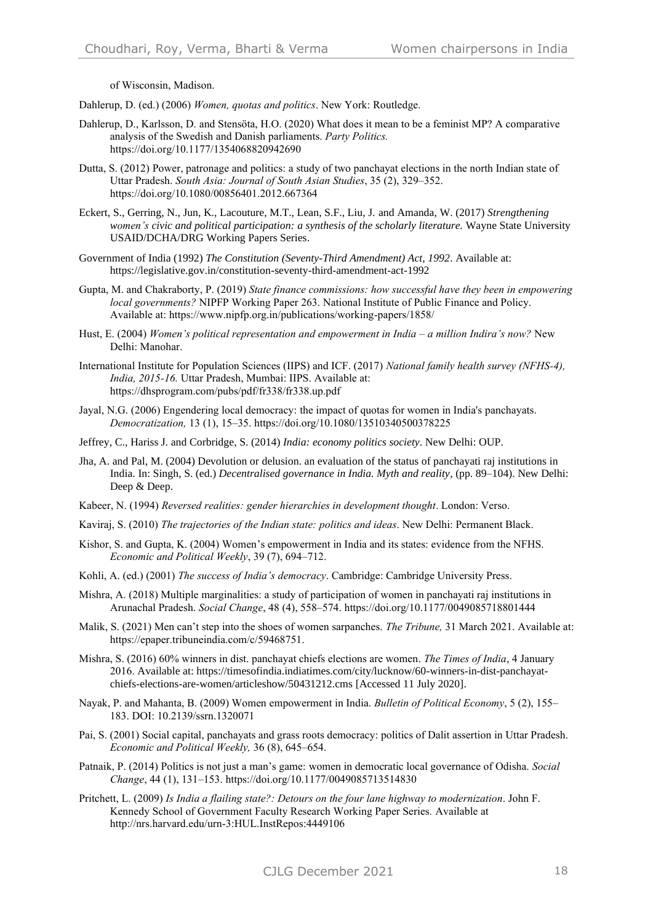of Wisconsin, Madison.

Dahlerup, D. (ed.) (2006) *Women, quotas and politics*. New York: Routledge.

- Dahlerup, D., Karlsson, D. and Stensöta, H.O. (2020) What does it mean to be a feminist MP? A comparative analysis of the Swedish and Danish parliaments. *Party Politics.* https://doi.org/10.1177/1354068820942690
- Dutta, S. (2012) Power, patronage and politics: a study of two panchayat elections in the north Indian state of Uttar Pradesh. *South Asia: Journal of South Asian Studies*, 35 (2), 329–352. https://doi.org/10.1080/00856401.2012.667364
- Eckert, S., Gerring, N., Jun, K., Lacouture, M.T., Lean, S.F., Liu, J. and Amanda, W. (2017) *Strengthening women's civic and political participation: a synthesis of the scholarly literature.* Wayne State University USAID/DCHA/DRG Working Papers Series.
- Government of India (1992) *The Constitution (Seventy-Third Amendment) Act, 1992*. Available at: <https://legislative.gov.in/constitution-seventy-third-amendment-act-1992>
- Gupta, M. and Chakraborty, P. (2019) *[State finance commissions: how successful have they been in empowering](https://ideas.repec.org/p/npf/wpaper/19-263.html)  [local governments?](https://ideas.repec.org/p/npf/wpaper/19-263.html)* NIPFP [Working Paper](https://ideas.repec.org/s/npf/wpaper.html) 263. National Institute of Public Finance and Policy. Available at: https://www.nipfp.org.in/publications/working-papers/1858/
- Hust, E. (2004) *Women's political representation and empowerment in India – a million Indira's now?* New Delhi: Manohar.
- International Institute for Population Sciences (IIPS) and ICF. (2017) *National family health survey (NFHS-4), India, 2015-16.* Uttar Pradesh, Mumbai: IIPS. Available at: https://dhsprogram.com/pubs/pdf/fr338/fr338.up.pdf
- Jayal, N.G. (2006) Engendering local democracy: the impact of quotas for women in India's panchayats. *Democratization,* 13 (1), 15–35. https://doi.org/10.1080/13510340500378225
- Jeffrey, C., Hariss J. and Corbridge, S. (2014) *India: economy politics society*. New Delhi: OUP.
- Jha, A. and Pal, M. (2004) Devolution or delusion. an evaluation of the status of panchayati raj institutions in India. In: Singh, S. (ed.) *Decentralised governance in India. Myth and reality*, (pp. 89–104). New Delhi: Deep & Deep.
- Kabeer, N. (1994) *Reversed realities: gender hierarchies in development thought*. London: Verso.
- Kaviraj, S. (2010) *The trajectories of the Indian state: politics and ideas*. New Delhi: Permanent Black.
- Kishor, S. and Gupta, K. (2004) Women's empowerment in India and its states: evidence from the NFHS. *Economic and Political Weekly*, 39 (7), 694–712.
- Kohli, A. (ed.) (2001) *The success of India's democracy*. Cambridge: Cambridge University Press.
- Mishra, A. (2018) Multiple marginalities: a study of participation of women in panchayati raj institutions in Arunachal Pradesh. *Social Change*, 48 (4), 558–574. https://doi.org/10.1177/0049085718801444
- Malik, S. (2021) Men can't step into the shoes of women sarpanches. *The Tribune,* 31 March 2021. Available at: https://epaper.tribuneindia.com/c/59468751.
- Mishra, S. (2016) 60% winners in dist. panchayat chiefs elections are women. *The Times of India*, 4 January 2016. Available at: https://timesofindia.indiatimes.com/city/lucknow/60-winners-in-dist-panchayatchiefs-elections-are-women/articleshow/50431212.cms [Accessed 11 July 2020].
- Nayak, P. and Mahanta, B. (2009) Women empowerment in India. *Bulletin of Political Economy*, 5 (2), 155– 183. DOI: 10.2139/ssrn.1320071
- Pai, S. (2001) Social capital, panchayats and grass roots democracy: politics of Dalit assertion in Uttar Pradesh. *Economic and Political Weekly,* 36 (8), 645–654.
- Patnaik, P. (2014) Politics is not just a man's game: women in democratic local governance of Odisha. *Social Change*, 44 (1), 131–153. https://doi.org/10.1177/0049085713514830
- Pritchett, L. (2009) *Is India a flailing state?: Detours on the four lane highway to modernization*. John F. Kennedy School of Government Faculty Research Working Paper Series*.* Available at <http://nrs.harvard.edu/urn-3:HUL.InstRepos:4449106>